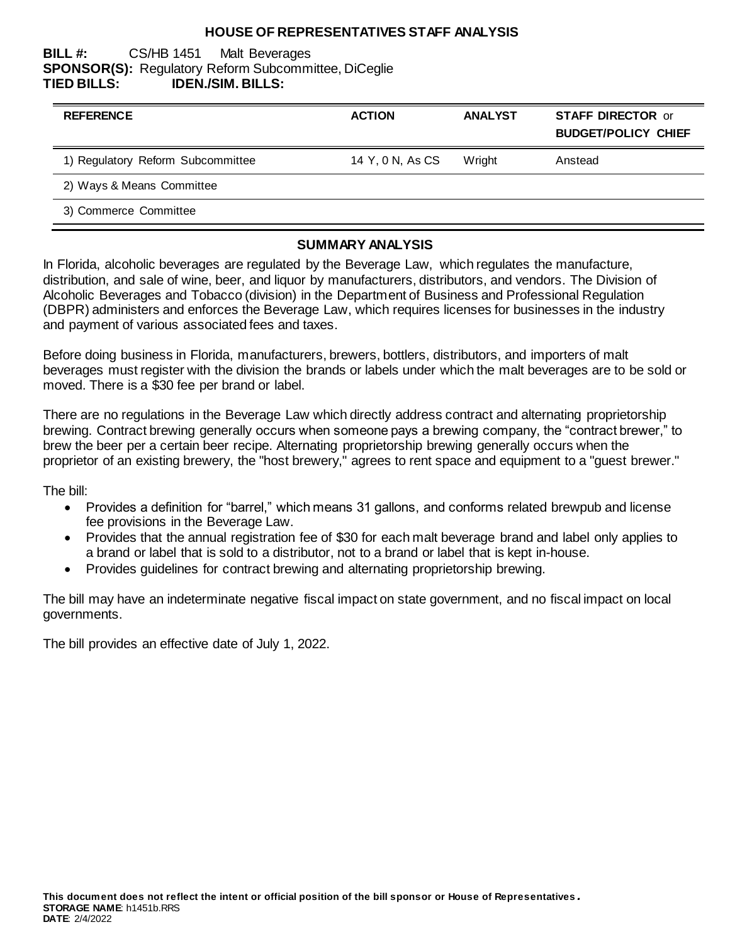### **HOUSE OF REPRESENTATIVES STAFF ANALYSIS**

### **BILL #:** CS/HB 1451 Malt Beverages **SPONSOR(S):** Regulatory Reform Subcommittee, DiCeglie **TIED BILLS: IDEN./SIM. BILLS:**

| <b>REFERENCE</b>                  | <b>ACTION</b>    | <b>ANALYST</b> | <b>STAFF DIRECTOR or</b><br><b>BUDGET/POLICY CHIEF</b> |
|-----------------------------------|------------------|----------------|--------------------------------------------------------|
| 1) Regulatory Reform Subcommittee | 14 Y, 0 N, As CS | Wright         | Anstead                                                |
| 2) Ways & Means Committee         |                  |                |                                                        |
| 3) Commerce Committee             |                  |                |                                                        |

#### **SUMMARY ANALYSIS**

In Florida, alcoholic beverages are regulated by the Beverage Law, which regulates the manufacture, distribution, and sale of wine, beer, and liquor by manufacturers, distributors, and vendors. The Division of Alcoholic Beverages and Tobacco (division) in the Department of Business and Professional Regulation (DBPR) administers and enforces the Beverage Law, which requires licenses for businesses in the industry and payment of various associated fees and taxes.

Before doing business in Florida, manufacturers, brewers, bottlers, distributors, and importers of malt beverages must register with the division the brands or labels under which the malt beverages are to be sold or moved. There is a \$30 fee per brand or label.

There are no regulations in the Beverage Law which directly address contract and alternating proprietorship brewing. Contract brewing generally occurs when someone pays a brewing company, the "contract brewer," to brew the beer per a certain beer recipe. Alternating proprietorship brewing generally occurs when the proprietor of an existing brewery, the "host brewery," agrees to rent space and equipment to a "guest brewer."

The bill:

- Provides a definition for "barrel," which means 31 gallons, and conforms related brewpub and license fee provisions in the Beverage Law.
- Provides that the annual registration fee of \$30 for each malt beverage brand and label only applies to a brand or label that is sold to a distributor, not to a brand or label that is kept in-house.
- Provides guidelines for contract brewing and alternating proprietorship brewing.

The bill may have an indeterminate negative fiscal impact on state government, and no fiscal impact on local governments.

The bill provides an effective date of July 1, 2022.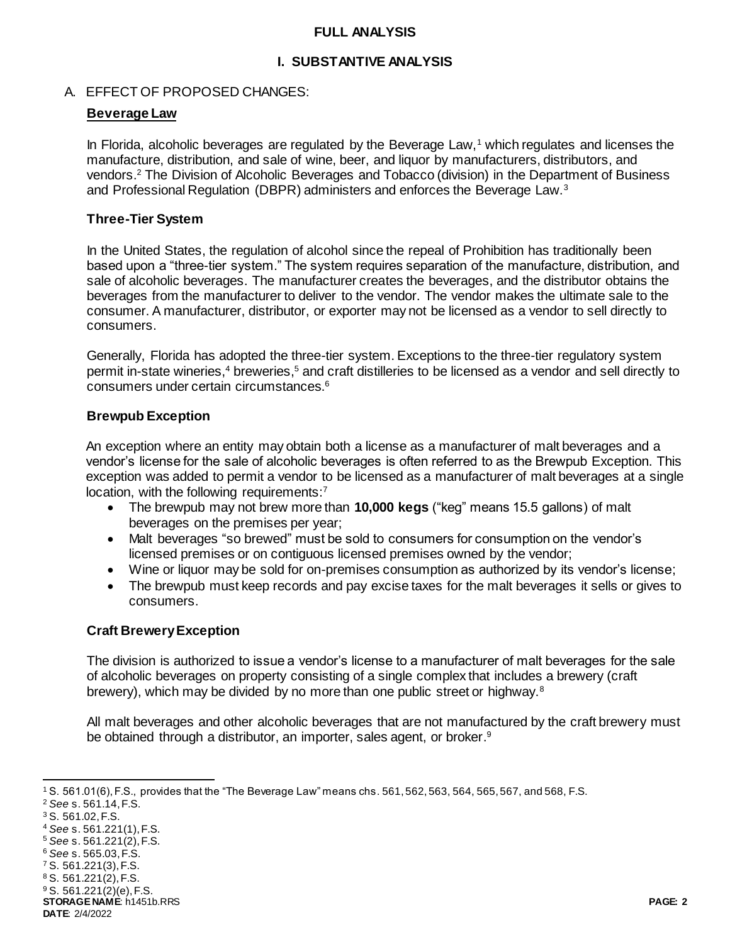### **FULL ANALYSIS**

# **I. SUBSTANTIVE ANALYSIS**

# A. EFFECT OF PROPOSED CHANGES:

# **Beverage Law**

In Florida, alcoholic beverages are regulated by the Beverage Law,<sup>1</sup> which regulates and licenses the manufacture, distribution, and sale of wine, beer, and liquor by manufacturers, distributors, and vendors.<sup>2</sup> The Division of Alcoholic Beverages and Tobacco (division) in the Department of Business and Professional Regulation (DBPR) administers and enforces the Beverage Law.<sup>3</sup>

# **Three-Tier System**

In the United States, the regulation of alcohol since the repeal of Prohibition has traditionally been based upon a "three-tier system." The system requires separation of the manufacture, distribution, and sale of alcoholic beverages. The manufacturer creates the beverages, and the distributor obtains the beverages from the manufacturer to deliver to the vendor. The vendor makes the ultimate sale to the consumer. A manufacturer, distributor, or exporter may not be licensed as a vendor to sell directly to consumers.

Generally, Florida has adopted the three-tier system. Exceptions to the three-tier regulatory system permit in-state wineries,<sup>4</sup> breweries,<sup>5</sup> and craft distilleries to be licensed as a vendor and sell directly to consumers under certain circumstances. 6

# **Brewpub Exception**

An exception where an entity may obtain both a license as a manufacturer of malt beverages and a vendor's license for the sale of alcoholic beverages is often referred to as the Brewpub Exception. This exception was added to permit a vendor to be licensed as a manufacturer of malt beverages at a single location, with the following requirements:<sup>7</sup>

- The brewpub may not brew more than **10,000 kegs** ("keg" means 15.5 gallons) of malt beverages on the premises per year;
- Malt beverages "so brewed" must be sold to consumers for consumption on the vendor's licensed premises or on contiguous licensed premises owned by the vendor;
- Wine or liquor may be sold for on-premises consumption as authorized by its vendor's license;
- The brewpub must keep records and pay excise taxes for the malt beverages it sells or gives to consumers.

# **Craft BreweryException**

The division is authorized to issue a vendor's license to a manufacturer of malt beverages for the sale of alcoholic beverages on property consisting of a single complex that includes a brewery (craft brewery), which may be divided by no more than one public street or highway.<sup>8</sup>

All malt beverages and other alcoholic beverages that are not manufactured by the craft brewery must be obtained through a distributor, an importer, sales agent, or broker.<sup>9</sup>

**STORAGE NAME**: h1451b.RRS **PAGE: 2**  $9$  S. 561.221(2)(e), F.S.

l <sup>1</sup> S. 561.01(6), F.S., provides that the "The Beverage Law" means chs. 561, 562, 563, 564, 565, 567, and 568, F.S.

<sup>2</sup> *See* s. 561.14, F.S.

<sup>3</sup> S. 561.02, F.S.

<sup>4</sup> *See* s. 561.221(1), F.S.

<sup>5</sup> *See* s. 561.221(2), F.S.

<sup>6</sup> *See* s. 565.03, F.S.

<sup>7</sup> S. 561.221(3), F.S.

<sup>8</sup> S. 561.221(2), F.S.

**DATE**: 2/4/2022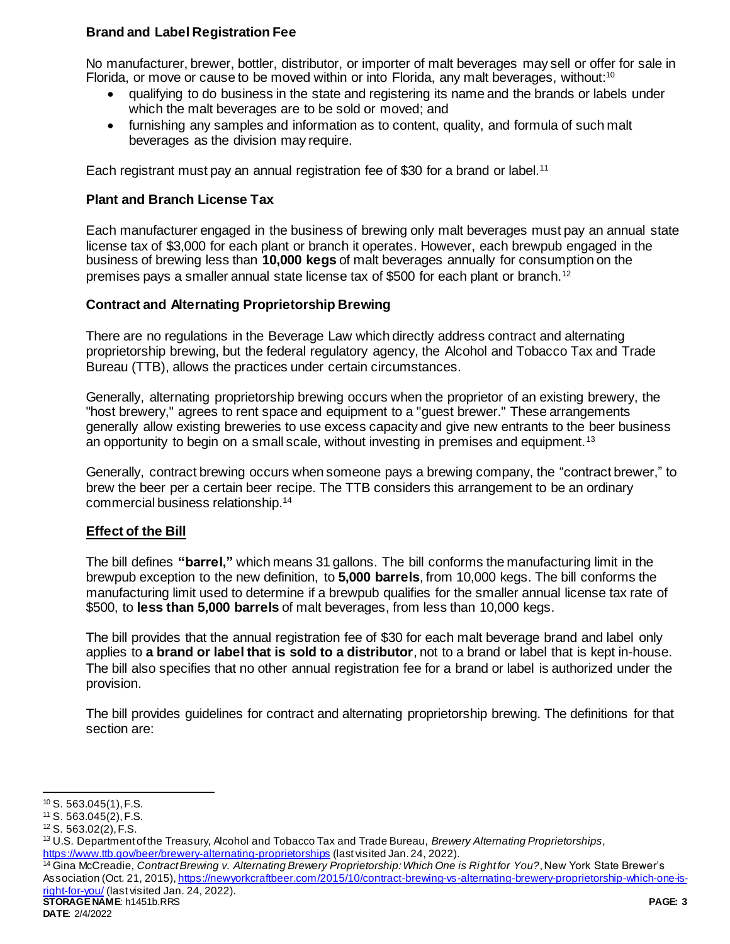# **Brand and Label Registration Fee**

No manufacturer, brewer, bottler, distributor, or importer of malt beverages may sell or offer for sale in Florida, or move or cause to be moved within or into Florida, any malt beverages, without:<sup>10</sup>

- qualifying to do business in the state and registering its name and the brands or labels under which the malt beverages are to be sold or moved; and
- furnishing any samples and information as to content, quality, and formula of such malt beverages as the division may require.

Each registrant must pay an annual registration fee of \$30 for a brand or label.<sup>11</sup>

# **Plant and Branch License Tax**

Each manufacturer engaged in the business of brewing only malt beverages must pay an annual state license tax of \$3,000 for each plant or branch it operates. However, each brewpub engaged in the business of brewing less than **10,000 kegs** of malt beverages annually for consumption on the premises pays a smaller annual state license tax of \$500 for each plant or branch.<sup>12</sup>

### **Contract and Alternating Proprietorship Brewing**

There are no regulations in the Beverage Law which directly address contract and alternating proprietorship brewing, but the federal regulatory agency, the Alcohol and Tobacco Tax and Trade Bureau (TTB), allows the practices under certain circumstances.

Generally, alternating proprietorship brewing occurs when the proprietor of an existing brewery, the "host brewery," agrees to rent space and equipment to a "guest brewer." These arrangements generally allow existing breweries to use excess capacity and give new entrants to the beer business an opportunity to begin on a small scale, without investing in premises and equipment.<sup>13</sup>

Generally, contract brewing occurs when someone pays a brewing company, the "contract brewer," to brew the beer per a certain beer recipe. The TTB considers this arrangement to be an ordinary commercial business relationship.<sup>14</sup>

# **Effect of the Bill**

The bill defines **"barrel,"** which means 31 gallons. The bill conforms the manufacturing limit in the brewpub exception to the new definition, to **5,000 barrels**, from 10,000 kegs. The bill conforms the manufacturing limit used to determine if a brewpub qualifies for the smaller annual license tax rate of \$500, to **less than 5,000 barrels** of malt beverages, from less than 10,000 kegs.

The bill provides that the annual registration fee of \$30 for each malt beverage brand and label only applies to **a brand or label that is sold to a distributor**, not to a brand or label that is kept in-house. The bill also specifies that no other annual registration fee for a brand or label is authorized under the provision.

The bill provides guidelines for contract and alternating proprietorship brewing. The definitions for that section are:

l  $10$  S. 563.045(1), F.S.

<sup>11</sup> S. 563.045(2), F.S.

<sup>12</sup> S. 563.02(2), F.S.

<sup>13</sup> U.S. Department of the Treasury, Alcohol and Tobacco Tax and Trade Bureau, *Brewery Alternating Proprietorships*, <https://www.ttb.gov/beer/brewery-alternating-proprietorships> (last visited Jan. 24, 2022).

**STORAGE NAME**: h1451b.RRS **PAGE: 3** <sup>14</sup> Gina McCreadie, *Contract Brewing v. Alternating Brewery Proprietorship: Which One is Right for You?*, New York State Brewer's Association (Oct. 21, 2015)[, https://newyorkcraftbeer.com/2015/10/contract-brewing-vs-alternating-brewery-proprietorship-which-one-is](https://newyorkcraftbeer.com/2015/10/contract-brewing-vs-alternating-brewery-proprietorship-which-one-is-right-for-you/)[right-for-you/](https://newyorkcraftbeer.com/2015/10/contract-brewing-vs-alternating-brewery-proprietorship-which-one-is-right-for-you/) (last visited Jan. 24, 2022).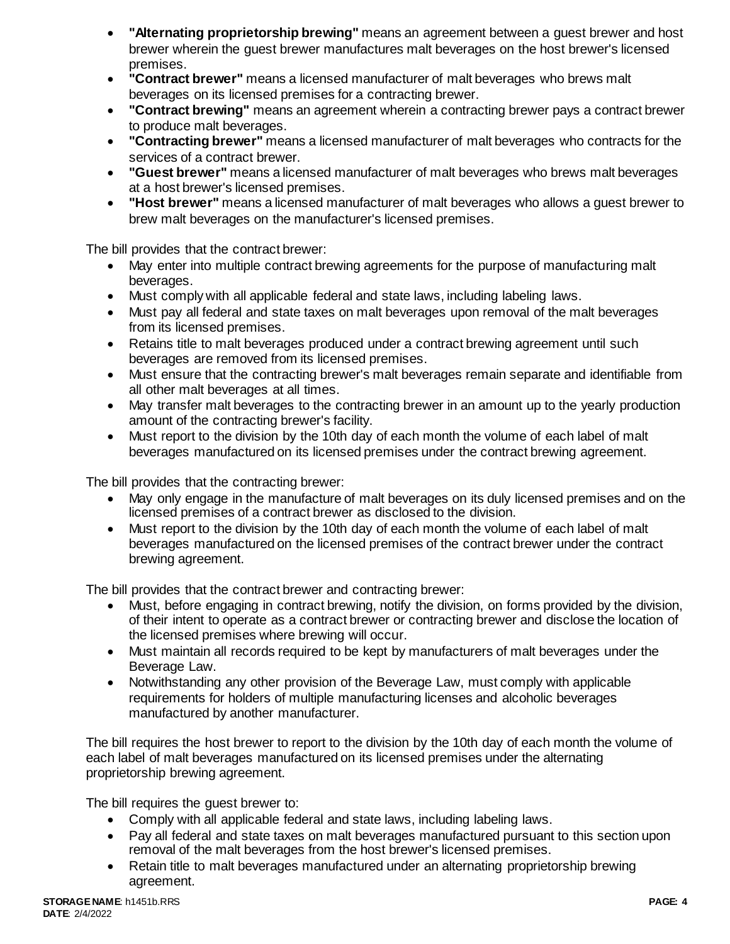- **"Alternating proprietorship brewing"** means an agreement between a guest brewer and host brewer wherein the guest brewer manufactures malt beverages on the host brewer's licensed premises.
- **"Contract brewer"** means a licensed manufacturer of malt beverages who brews malt beverages on its licensed premises for a contracting brewer.
- **"Contract brewing"** means an agreement wherein a contracting brewer pays a contract brewer to produce malt beverages.
- **"Contracting brewer"** means a licensed manufacturer of malt beverages who contracts for the services of a contract brewer.
- **"Guest brewer"** means a licensed manufacturer of malt beverages who brews malt beverages at a host brewer's licensed premises.
- **"Host brewer"** means a licensed manufacturer of malt beverages who allows a guest brewer to brew malt beverages on the manufacturer's licensed premises.

The bill provides that the contract brewer:

- May enter into multiple contract brewing agreements for the purpose of manufacturing malt beverages.
- Must comply with all applicable federal and state laws, including labeling laws.
- Must pay all federal and state taxes on malt beverages upon removal of the malt beverages from its licensed premises.
- Retains title to malt beverages produced under a contract brewing agreement until such beverages are removed from its licensed premises.
- Must ensure that the contracting brewer's malt beverages remain separate and identifiable from all other malt beverages at all times.
- May transfer malt beverages to the contracting brewer in an amount up to the yearly production amount of the contracting brewer's facility.
- Must report to the division by the 10th day of each month the volume of each label of malt beverages manufactured on its licensed premises under the contract brewing agreement.

The bill provides that the contracting brewer:

- May only engage in the manufacture of malt beverages on its duly licensed premises and on the licensed premises of a contract brewer as disclosed to the division.
- Must report to the division by the 10th day of each month the volume of each label of malt beverages manufactured on the licensed premises of the contract brewer under the contract brewing agreement.

The bill provides that the contract brewer and contracting brewer:

- Must, before engaging in contract brewing, notify the division, on forms provided by the division, of their intent to operate as a contract brewer or contracting brewer and disclose the location of the licensed premises where brewing will occur.
- Must maintain all records required to be kept by manufacturers of malt beverages under the Beverage Law.
- Notwithstanding any other provision of the Beverage Law, must comply with applicable requirements for holders of multiple manufacturing licenses and alcoholic beverages manufactured by another manufacturer.

The bill requires the host brewer to report to the division by the 10th day of each month the volume of each label of malt beverages manufactured on its licensed premises under the alternating proprietorship brewing agreement.

The bill requires the guest brewer to:

- Comply with all applicable federal and state laws, including labeling laws.
- Pay all federal and state taxes on malt beverages manufactured pursuant to this section upon removal of the malt beverages from the host brewer's licensed premises.
- Retain title to malt beverages manufactured under an alternating proprietorship brewing agreement.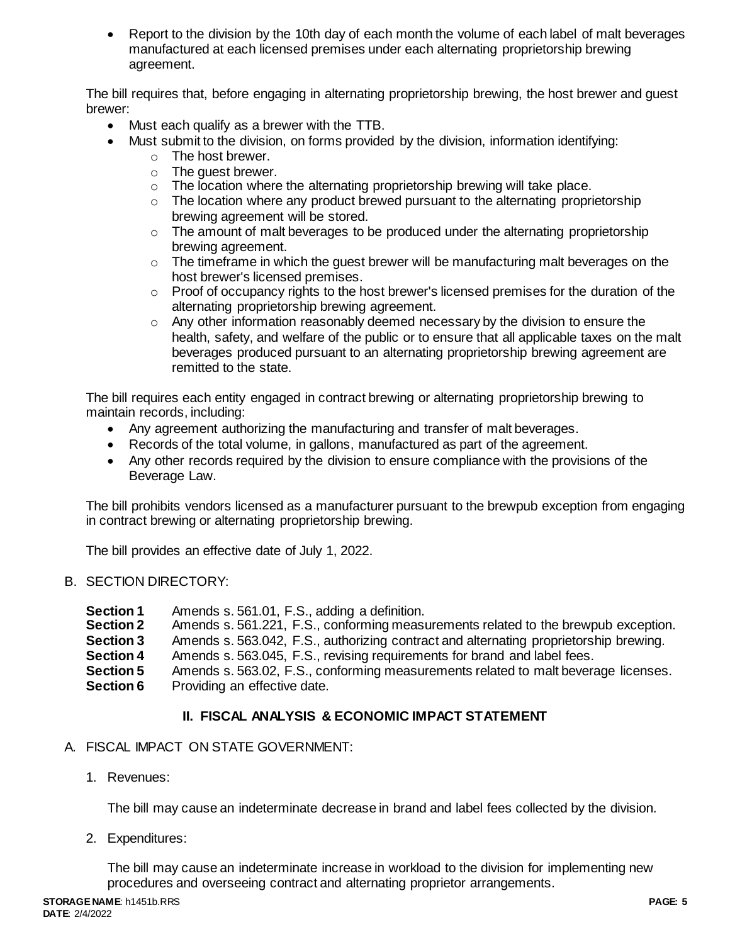Report to the division by the 10th day of each month the volume of each label of malt beverages manufactured at each licensed premises under each alternating proprietorship brewing agreement.

The bill requires that, before engaging in alternating proprietorship brewing, the host brewer and guest brewer:

- Must each qualify as a brewer with the TTB.
- Must submit to the division, on forms provided by the division, information identifying:
	- o The host brewer.
	- o The guest brewer.
	- o The location where the alternating proprietorship brewing will take place.
	- $\circ$  The location where any product brewed pursuant to the alternating proprietorship brewing agreement will be stored.
	- $\circ$  The amount of malt beverages to be produced under the alternating proprietorship brewing agreement.
	- o The timeframe in which the guest brewer will be manufacturing malt beverages on the host brewer's licensed premises.
	- $\circ$  Proof of occupancy rights to the host brewer's licensed premises for the duration of the alternating proprietorship brewing agreement.
	- o Any other information reasonably deemed necessary by the division to ensure the health, safety, and welfare of the public or to ensure that all applicable taxes on the malt beverages produced pursuant to an alternating proprietorship brewing agreement are remitted to the state.

The bill requires each entity engaged in contract brewing or alternating proprietorship brewing to maintain records, including:

- Any agreement authorizing the manufacturing and transfer of malt beverages.
- Records of the total volume, in gallons, manufactured as part of the agreement.
- Any other records required by the division to ensure compliance with the provisions of the Beverage Law.

The bill prohibits vendors licensed as a manufacturer pursuant to the brewpub exception from engaging in contract brewing or alternating proprietorship brewing.

The bill provides an effective date of July 1, 2022.

# B. SECTION DIRECTORY:

- **Section 1** Amends s. 561.01, F.S., adding a definition.
- **Section 2** Amends s. 561.221, F.S., conforming measurements related to the brewpub exception.
- **Section 3** Amends s. 563.042, F.S., authorizing contract and alternating proprietorship brewing.
- **Section 4** Amends s. 563.045, F.S., revising requirements for brand and label fees.
- **Section 5** Amends s. 563.02, F.S., conforming measurements related to malt beverage licenses. **Section 6** Providing an effective date.

# **II. FISCAL ANALYSIS & ECONOMIC IMPACT STATEMENT**

# A. FISCAL IMPACT ON STATE GOVERNMENT:

1. Revenues:

The bill may cause an indeterminate decrease in brand and label fees collected by the division.

2. Expenditures:

The bill may cause an indeterminate increase in workload to the division for implementing new procedures and overseeing contract and alternating proprietor arrangements.